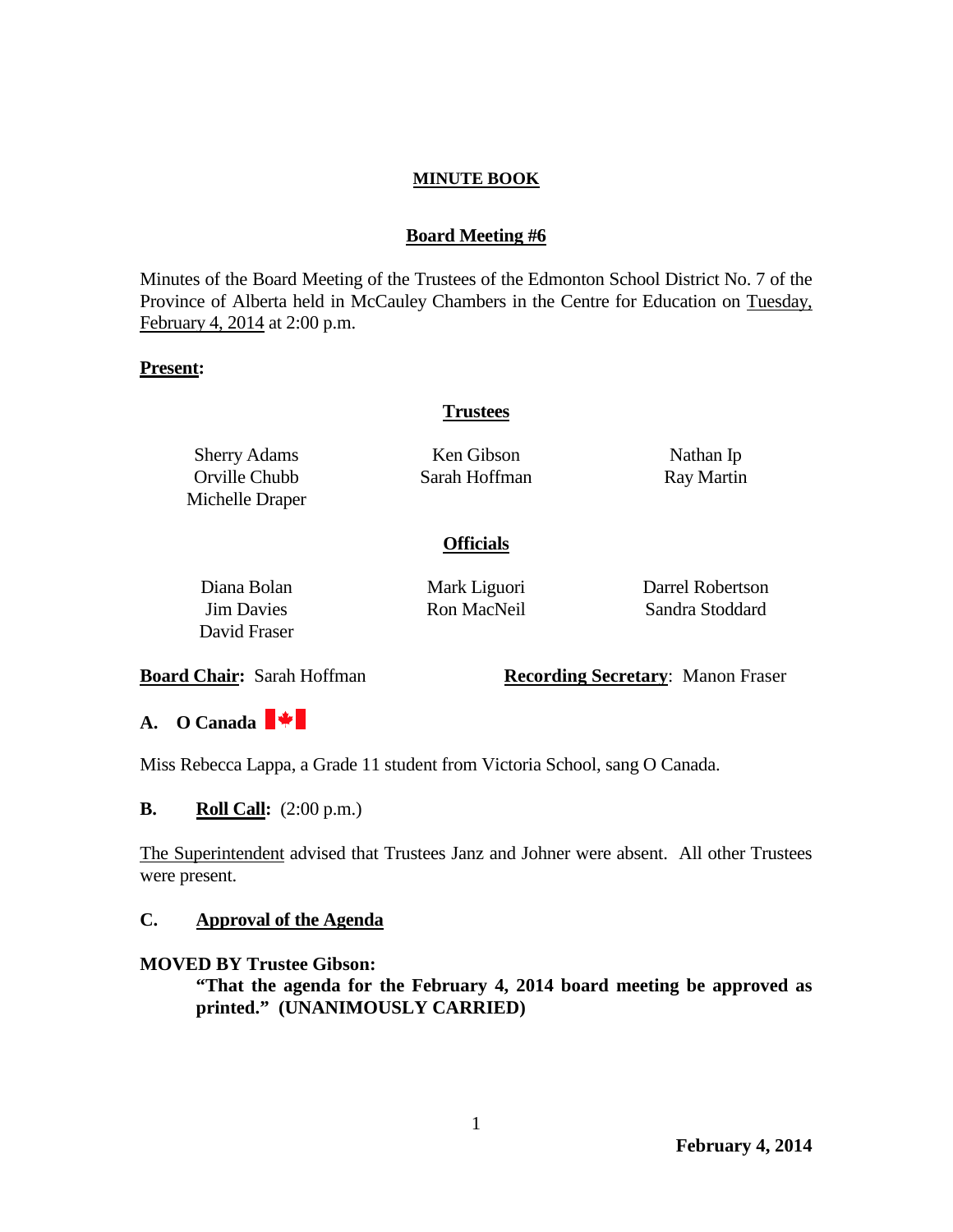### **Board Meeting #6**

Minutes of the Board Meeting of the Trustees of the Edmonton School District No. 7 of the Province of Alberta held in McCauley Chambers in the Centre for Education on Tuesday, February 4, 2014 at 2:00 p.m.

#### **Present:**

### **Trustees**

Sherry Adams Orville Chubb Michelle Draper

Ken Gibson Sarah Hoffman

Nathan Ip Ray Martin

### **Officials**

Diana Bolan Jim Davies David Fraser Mark Liguori Ron MacNeil

Darrel Robertson Sandra Stoddard

**Board Chair:** Sarah Hoffman **Recording Secretary**: Manon Fraser

**A. O Canada** 

Miss Rebecca Lappa, a Grade 11 student from Victoria School, sang O Canada.

**B. Roll Call:**  $(2:00 \text{ p.m.})$ 

The Superintendent advised that Trustees Janz and Johner were absent. All other Trustees were present.

### **C. Approval of the Agenda**

### **MOVED BY Trustee Gibson:**

**"That the agenda for the February 4, 2014 board meeting be approved as printed." (UNANIMOUSLY CARRIED)**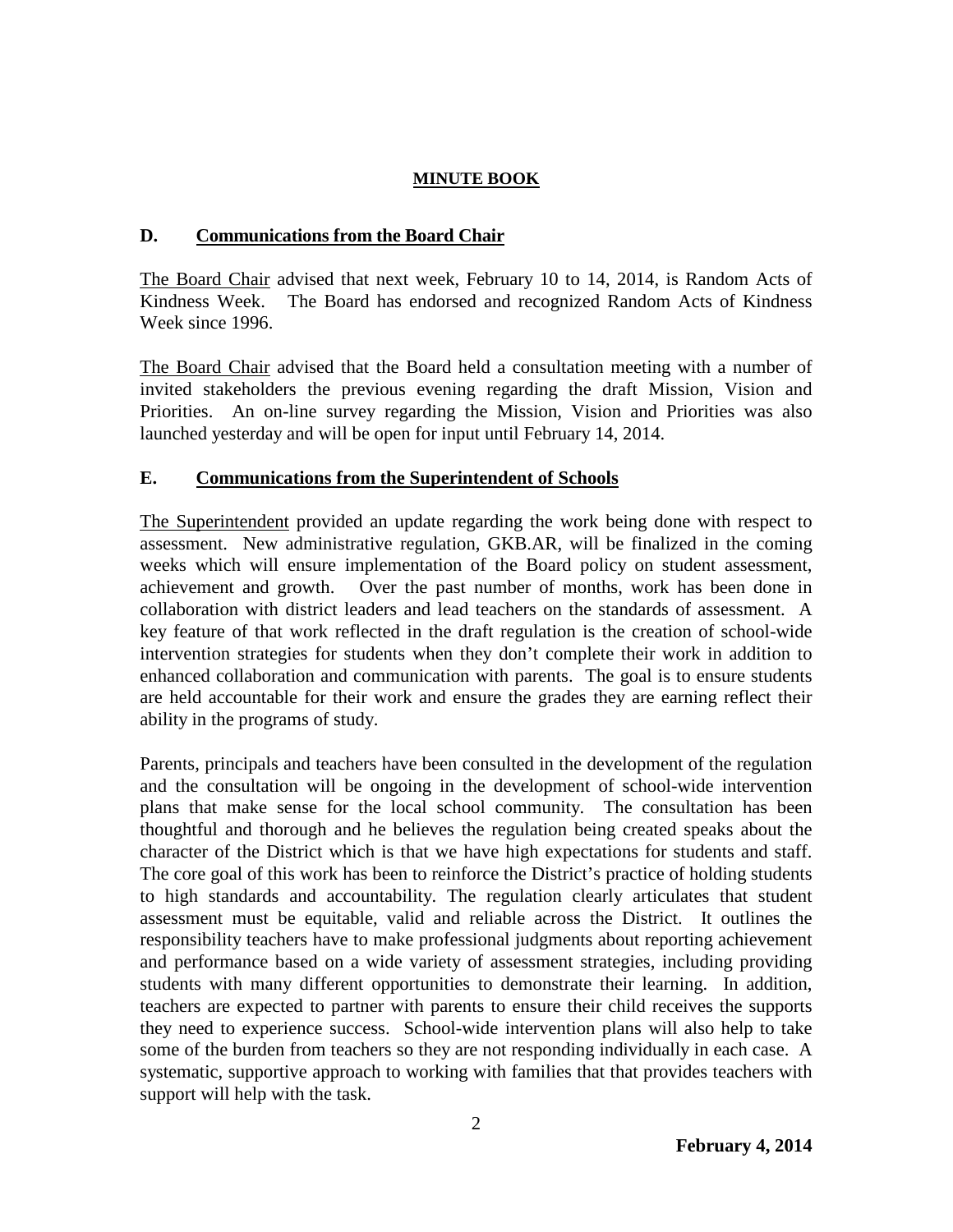### **D. Communications from the Board Chair**

The Board Chair advised that next week, February 10 to 14, 2014, is Random Acts of Kindness Week. The Board has endorsed and recognized Random Acts of Kindness Week since 1996.

The Board Chair advised that the Board held a consultation meeting with a number of invited stakeholders the previous evening regarding the draft Mission, Vision and Priorities. An on-line survey regarding the Mission, Vision and Priorities was also launched yesterday and will be open for input until February 14, 2014.

### **E. Communications from the Superintendent of Schools**

The Superintendent provided an update regarding the work being done with respect to assessment. New administrative regulation, GKB.AR, will be finalized in the coming weeks which will ensure implementation of the Board policy on student assessment, achievement and growth. Over the past number of months, work has been done in collaboration with district leaders and lead teachers on the standards of assessment. A key feature of that work reflected in the draft regulation is the creation of school-wide intervention strategies for students when they don't complete their work in addition to enhanced collaboration and communication with parents. The goal is to ensure students are held accountable for their work and ensure the grades they are earning reflect their ability in the programs of study.

Parents, principals and teachers have been consulted in the development of the regulation and the consultation will be ongoing in the development of school-wide intervention plans that make sense for the local school community. The consultation has been thoughtful and thorough and he believes the regulation being created speaks about the character of the District which is that we have high expectations for students and staff. The core goal of this work has been to reinforce the District's practice of holding students to high standards and accountability. The regulation clearly articulates that student assessment must be equitable, valid and reliable across the District. It outlines the responsibility teachers have to make professional judgments about reporting achievement and performance based on a wide variety of assessment strategies, including providing students with many different opportunities to demonstrate their learning. In addition, teachers are expected to partner with parents to ensure their child receives the supports they need to experience success. School-wide intervention plans will also help to take some of the burden from teachers so they are not responding individually in each case. A systematic, supportive approach to working with families that that provides teachers with support will help with the task.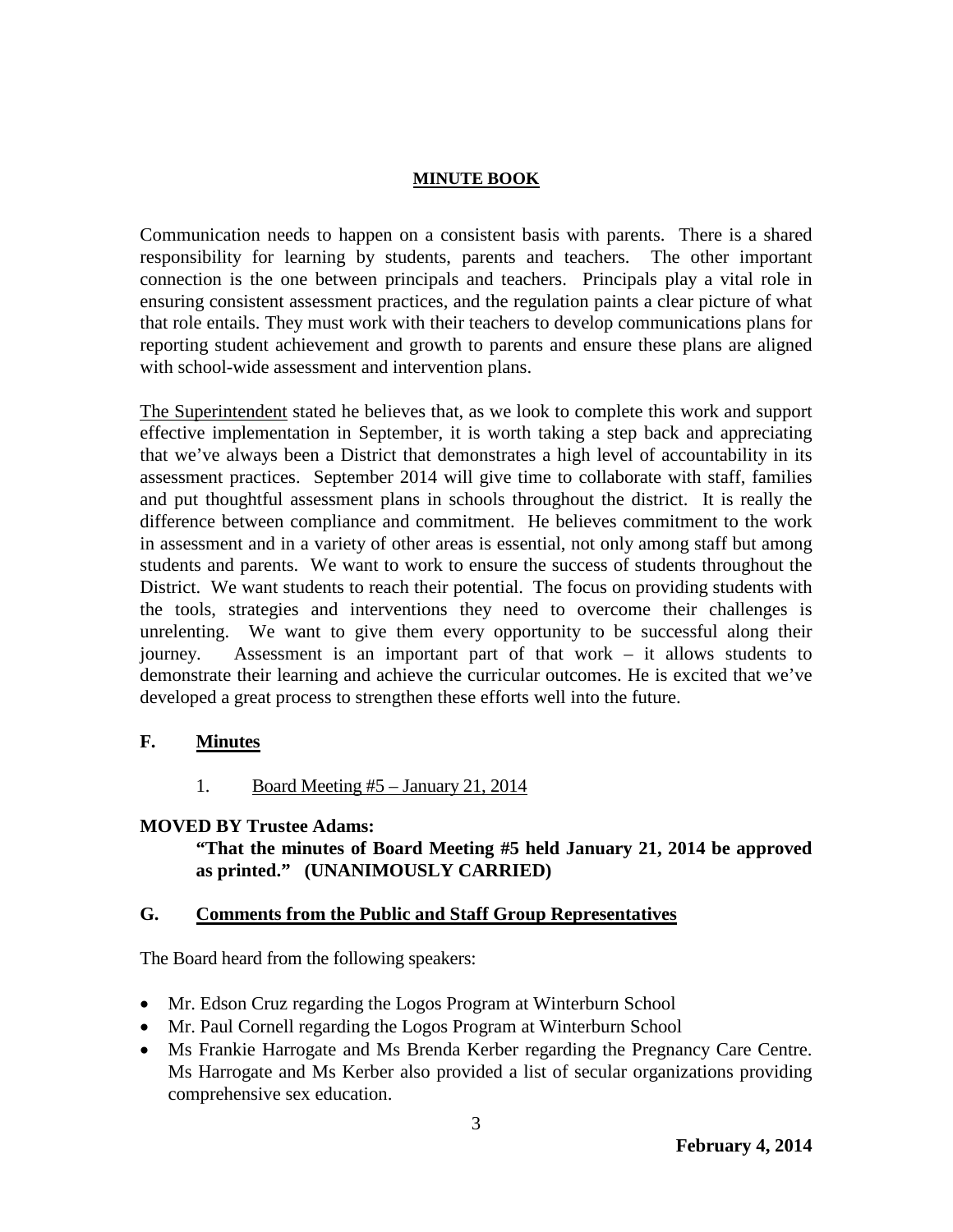Communication needs to happen on a consistent basis with parents. There is a shared responsibility for learning by students, parents and teachers. The other important connection is the one between principals and teachers. Principals play a vital role in ensuring consistent assessment practices, and the regulation paints a clear picture of what that role entails. They must work with their teachers to develop communications plans for reporting student achievement and growth to parents and ensure these plans are aligned with school-wide assessment and intervention plans.

The Superintendent stated he believes that, as we look to complete this work and support effective implementation in September, it is worth taking a step back and appreciating that we've always been a District that demonstrates a high level of accountability in its assessment practices. September 2014 will give time to collaborate with staff, families and put thoughtful assessment plans in schools throughout the district. It is really the difference between compliance and commitment. He believes commitment to the work in assessment and in a variety of other areas is essential, not only among staff but among students and parents. We want to work to ensure the success of students throughout the District. We want students to reach their potential. The focus on providing students with the tools, strategies and interventions they need to overcome their challenges is unrelenting. We want to give them every opportunity to be successful along their journey. Assessment is an important part of that work – it allows students to demonstrate their learning and achieve the curricular outcomes. He is excited that we've developed a great process to strengthen these efforts well into the future.

## **F. Minutes**

1. Board Meeting #5 – January 21, 2014

## **MOVED BY Trustee Adams:**

## **"That the minutes of Board Meeting #5 held January 21, 2014 be approved as printed." (UNANIMOUSLY CARRIED)**

## **G. Comments from the Public and Staff Group Representatives**

The Board heard from the following speakers:

- Mr. Edson Cruz regarding the Logos Program at Winterburn School
- Mr. Paul Cornell regarding the Logos Program at Winterburn School
- Ms Frankie Harrogate and Ms Brenda Kerber regarding the Pregnancy Care Centre. Ms Harrogate and Ms Kerber also provided a list of secular organizations providing comprehensive sex education.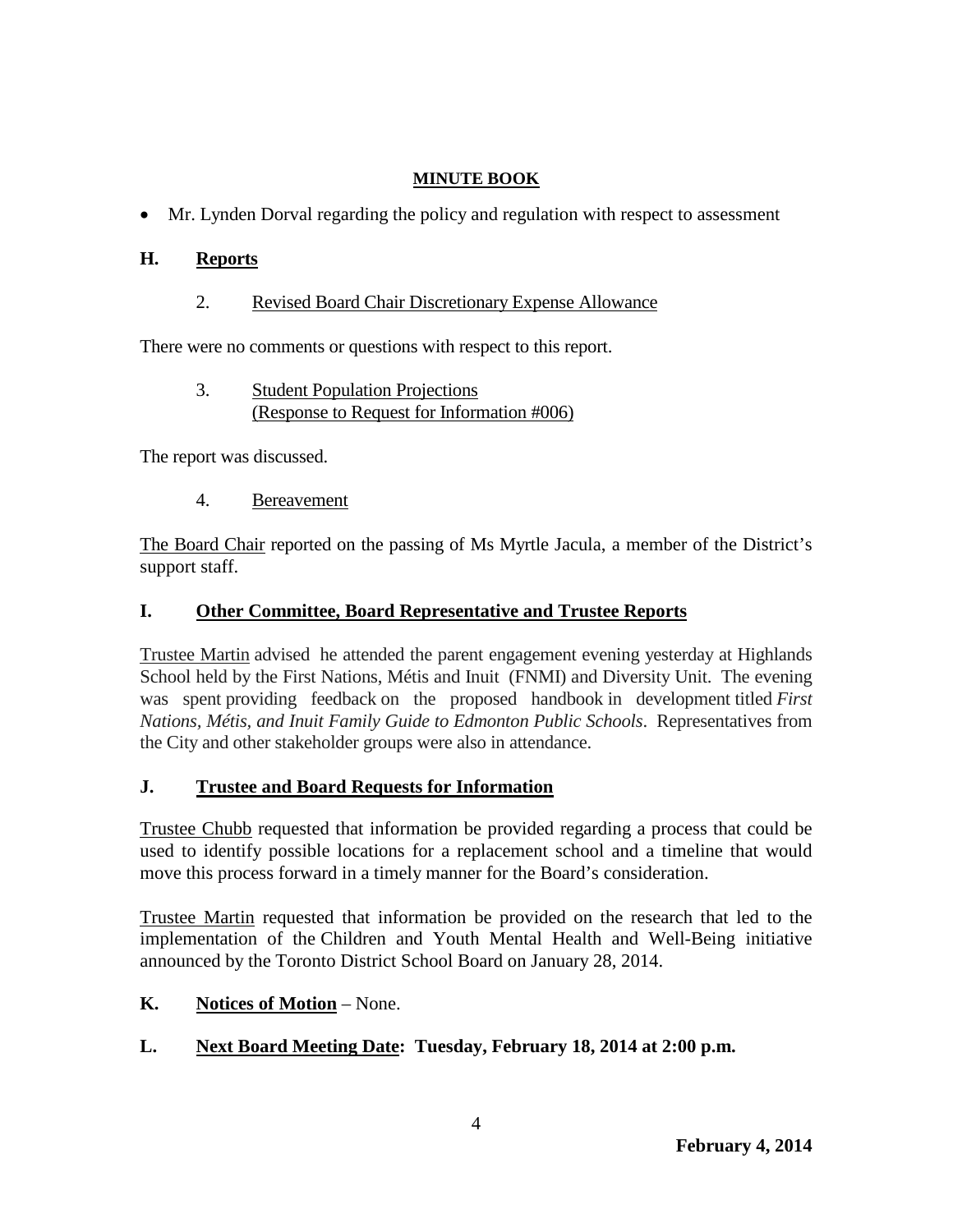• Mr. Lynden Dorval regarding the policy and regulation with respect to assessment

# **H. Reports**

2. Revised Board Chair Discretionary Expense Allowance

There were no comments or questions with respect to this report.

3. Student Population Projections (Response to Request for Information #006)

The report was discussed.

4. Bereavement

The Board Chair reported on the passing of Ms Myrtle Jacula, a member of the District's support staff.

# **I. Other Committee, Board Representative and Trustee Reports**

Trustee Martin advised he attended the parent engagement evening yesterday at Highlands School held by the First Nations, Métis and Inuit (FNMI) and Diversity Unit. The evening was spent providing feedback on the proposed handbook in development titled *First Nations, Métis, and Inuit Family Guide to Edmonton Public Schools*. Representatives from the City and other stakeholder groups were also in attendance.

# **J. Trustee and Board Requests for Information**

Trustee Chubb requested that information be provided regarding a process that could be used to identify possible locations for a replacement school and a timeline that would move this process forward in a timely manner for the Board's consideration.

Trustee Martin requested that information be provided on the research that led to the implementation of the Children and Youth Mental Health and Well-Being initiative announced by the Toronto District School Board on January 28, 2014.

- **K. Notices of Motion** None.
- **L. Next Board Meeting Date: Tuesday, February 18, 2014 at 2:00 p.m.**